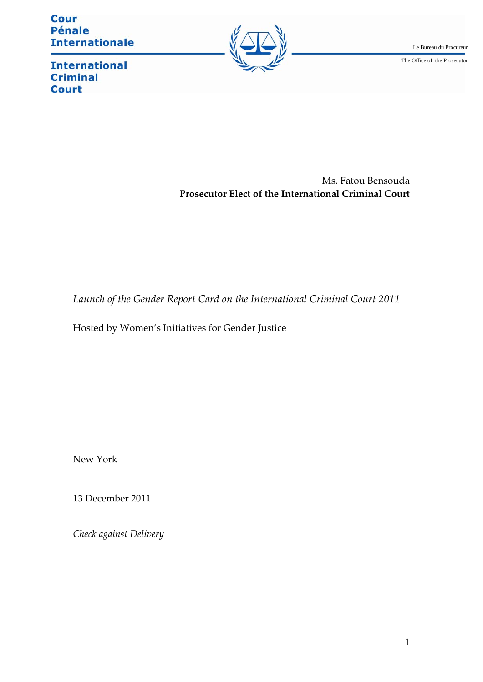**Cour Pénale Internationale** 



**International Criminal Court** 

> Ms. Fatou Bensouda **Prosecutor Elect of the International Criminal Court**

*Launch of the Gender Report Card on the International Criminal Court 2011*

Hosted by Women's Initiatives for Gender Justice

New York

13 December 2011

*Check against Delivery*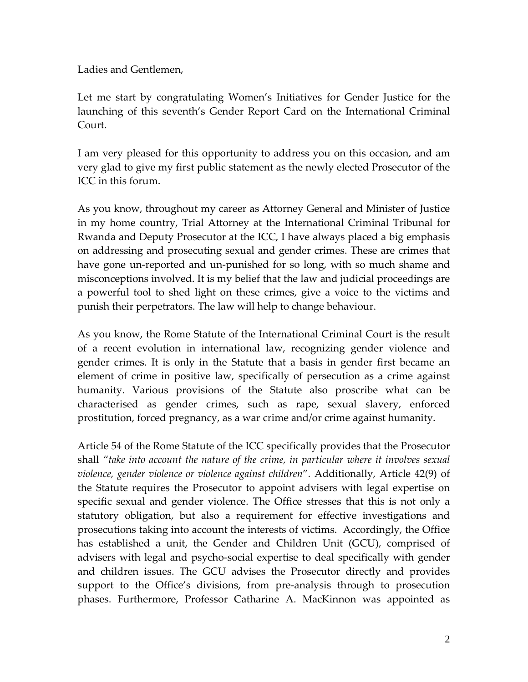Ladies and Gentlemen,

Let me start by congratulating Women's Initiatives for Gender Justice for the launching of this seventh's Gender Report Card on the International Criminal Court.

I am very pleased for this opportunity to address you on this occasion, and am very glad to give my first public statement as the newly elected Prosecutor of the ICC in this forum.

As you know, throughout my career as Attorney General and Minister of Justice in my home country, Trial Attorney at the International Criminal Tribunal for Rwanda and Deputy Prosecutor at the ICC, I have always placed a big emphasis on addressing and prosecuting sexual and gender crimes. These are crimes that have gone un-reported and un-punished for so long, with so much shame and misconceptions involved. It is my belief that the law and judicial proceedings are a powerful tool to shed light on these crimes, give a voice to the victims and punish their perpetrators. The law will help to change behaviour.

As you know, the Rome Statute of the International Criminal Court is the result of a recent evolution in international law, recognizing gender violence and gender crimes. It is only in the Statute that a basis in gender first became an element of crime in positive law, specifically of persecution as a crime against humanity. Various provisions of the Statute also proscribe what can be characterised as gender crimes, such as rape, sexual slavery, enforced prostitution, forced pregnancy, as a war crime and/or crime against humanity.

Article 54 of the Rome Statute of the ICC specifically provides that the Prosecutor shall "*take into account the nature of the crime, in particular where it involves sexual violence, gender violence or violence against children*". Additionally, Article 42(9) of the Statute requires the Prosecutor to appoint advisers with legal expertise on specific sexual and gender violence. The Office stresses that this is not only a statutory obligation, but also a requirement for effective investigations and prosecutions taking into account the interests of victims. Accordingly, the Office has established a unit, the Gender and Children Unit (GCU), comprised of advisers with legal and psycho‐social expertise to deal specifically with gender and children issues. The GCU advises the Prosecutor directly and provides support to the Office's divisions, from pre-analysis through to prosecution phases. Furthermore, Professor Catharine A. MacKinnon was appointed as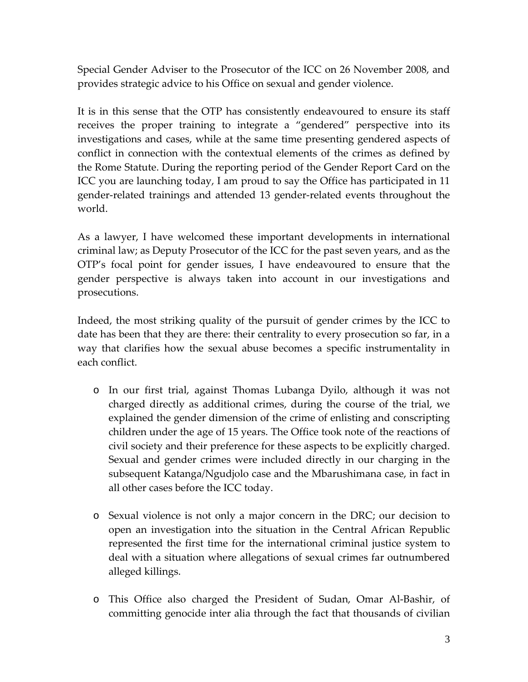Special Gender Adviser to the Prosecutor of the ICC on 26 November 2008, and provides strategic advice to his Office on sexual and gender violence.

It is in this sense that the OTP has consistently endeavoured to ensure its staff receives the proper training to integrate a "gendered" perspective into its investigations and cases, while at the same time presenting gendered aspects of conflict in connection with the contextual elements of the crimes as defined by the Rome Statute. During the reporting period of the Gender Report Card on the ICC you are launching today, I am proud to say the Office has participated in 11 gender‐related trainings and attended 13 gender‐related events throughout the world.

As a lawyer, I have welcomed these important developments in international criminal law; as Deputy Prosecutor of the ICC for the past seven years, and as the OTP's focal point for gender issues, I have endeavoured to ensure that the gender perspective is always taken into account in our investigations and prosecutions.

Indeed, the most striking quality of the pursuit of gender crimes by the ICC to date has been that they are there: their centrality to every prosecution so far, in a way that clarifies how the sexual abuse becomes a specific instrumentality in each conflict.

- o In our first trial, against Thomas Lubanga Dyilo, although it was not charged directly as additional crimes, during the course of the trial, we explained the gender dimension of the crime of enlisting and conscripting children under the age of 15 years. The Office took note of the reactions of civil society and their preference for these aspects to be explicitly charged. Sexual and gender crimes were included directly in our charging in the subsequent Katanga/Ngudjolo case and the Mbarushimana case, in fact in all other cases before the ICC today.
- o Sexual violence is not only a major concern in the DRC; our decision to open an investigation into the situation in the Central African Republic represented the first time for the international criminal justice system to deal with a situation where allegations of sexual crimes far outnumbered alleged killings.
- o This Office also charged the President of Sudan, Omar Al‐Bashir, of committing genocide inter alia through the fact that thousands of civilian